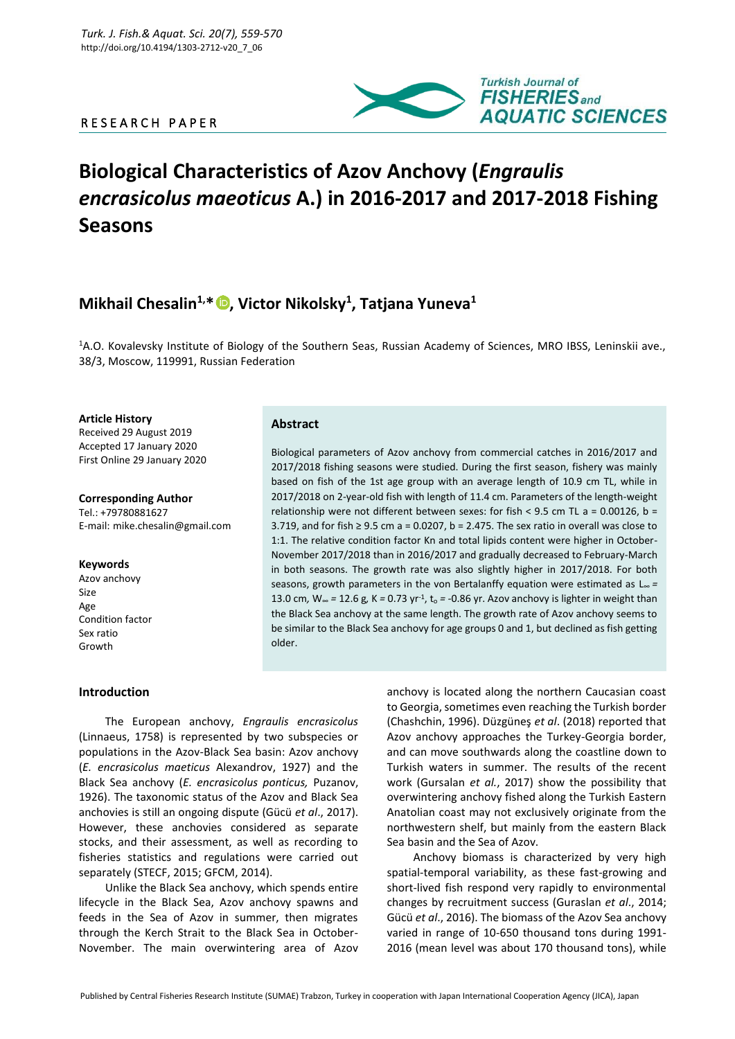# R E S E A R C H P A P E R



# **Biological Characteristics of Azov Anchovy (***Engraulis encrasicolus maeoticus* **A.) in 2016-2017 and 2017-2018 Fishing Seasons**

# **Mikhail Chesalin1,\* , Victor Nikolsky<sup>1</sup> , Tatjana Yuneva<sup>1</sup>**

<sup>1</sup>A.O. Kovalevsky Institute of Biology of the Southern Seas, Russian Academy of Sciences, MRO IBSS, Leninskii ave., 38/3, Moscow, 119991, Russian Federation

**Article History** Received 29 August 2019 Accepted 17 January 2020 First Online 29 January 2020

**Corresponding Author** Tel.: +79780881627 E-mail: mike.chesalin@gmail.com

#### **Keywords**

Azov anchovy Size Age Condition factor Sex ratio Growth

## **Abstract**

Biological parameters of Azov anchovy from commercial catches in 2016/2017 and 2017/2018 fishing seasons were studied. During the first season, fishery was mainly based on fish of the 1st age group with an average length of 10.9 cm TL, while in 2017/2018 on 2-year-old fish with length of 11.4 cm. Parameters of the length-weight relationship were not different between sexes: for fish <  $9.5$  cm TL a = 0.00126, b = 3.719, and for fish ≥ 9.5 cm a = 0.0207, b = 2.475. The sex ratio in overall was close to 1:1. The relative condition factor Kn and total lipids content were higher in October-November 2017/2018 than in 2016/2017 and gradually decreased to February-March in both seasons. The growth rate was also slightly higher in 2017/2018. For both seasons, growth parameters in the von Bertalanffy equation were estimated as L<sup>∞</sup> *=* 13.0 cm*,* W<sup>∞</sup> *=* 12.6 g*,* K *=* 0.73 yr-1 , t<sup>o</sup> *= -*0.86 yr. Azov anchovy is lighter in weight than the Black Sea anchovy at the same length. The growth rate of Azov anchovy seems to be similar to the Black Sea anchovy for age groups 0 and 1, but declined as fish getting older.

#### **Introduction**

The European anchovy, *Engraulis encrasicolus* (Linnaeus, 1758) is represented by two subspecies or populations in the Azov-Black Sea basin: Azov anchovy (*E. encrasicolus maeticus* Alexandrov, 1927) and the Black Sea anchovy (*E. encrasicolus ponticus,* Puzanov, 1926). The taxonomic status of the Azov and Black Sea anchovies is still an ongoing dispute (Gücü *et al*., 2017). However, these anchovies considered as separate stocks, and their assessment, as well as recording to fisheries statistics and regulations were carried out separately (STECF, 2015; GFCM, 2014).

Unlike the Black Sea anchovy, which spends entire lifecycle in the Black Sea, Azov anchovy spawns and feeds in the Sea of Azov in summer, then migrates through the Kerch Strait to the Black Sea in October-November. The main overwintering area of Azov

anchovy is located along the northern Caucasian coast to Georgia, sometimes even reaching the Turkish border (Chashchin, 1996). Düzgüneş *et al*. (2018) reported that Azov anchovy approaches the Turkey-Georgia border, and can move southwards along the coastline down to Turkish waters in summer. The results of the recent work (Gursalan *et al.*, 2017) show the possibility that overwintering anchovy fished along the Turkish Eastern Anatolian coast may not exclusively originate from the northwestern shelf, but mainly from the eastern Black Sea basin and the Sea of Azov.

Anchovy biomass is characterized by very high spatial-temporal variability, as these fast-growing and short-lived fish respond very rapidly to environmental changes by recruitment success (Guraslan *et al*., 2014; Gücü *et al*., 2016). The biomass of the Azov Sea anchovy varied in range of 10-650 thousand tons during 1991- 2016 (mean level was about 170 thousand tons), while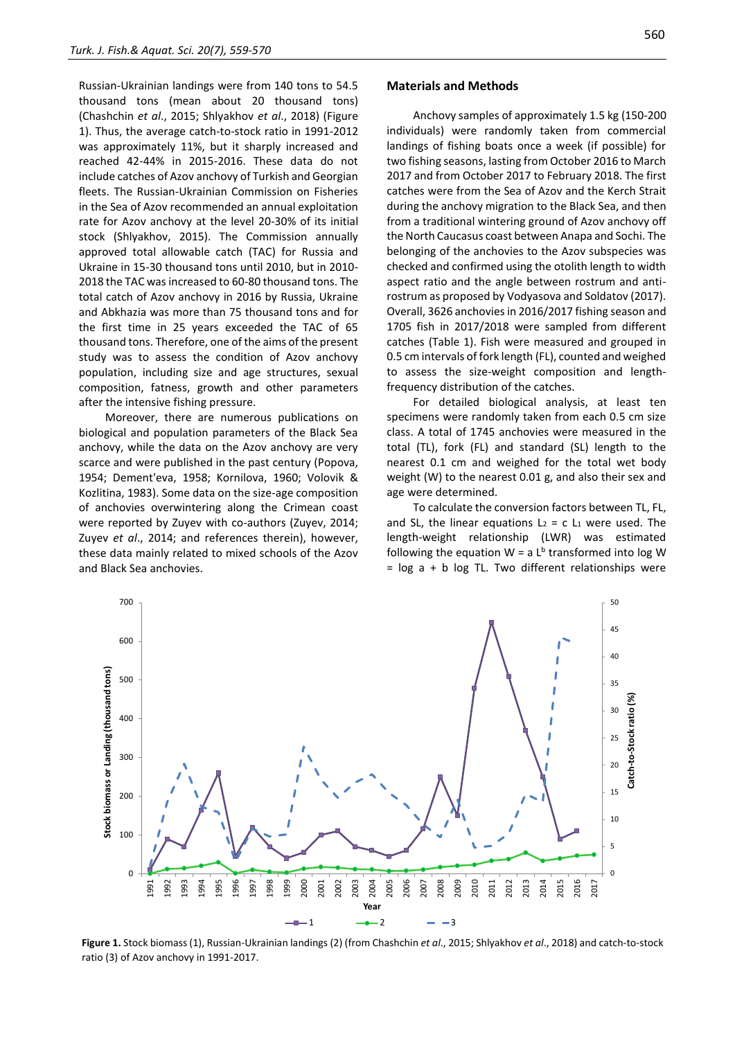Russian-Ukrainian landings were from 140 tons to 54.5 thousand tons (mean about 20 thousand tons) (Chashchin *et al*., 2015; Shlyakhov *et al*., 2018) (Figure 1). Thus, the average catch-to-stock ratio in 1991-2012 was approximately 11%, but it sharply increased and reached 42-44% in 2015-2016. These data do not include catches of Azov anchovy of Turkish and Georgian fleets. The Russian-Ukrainian Commission on Fisheries in the Sea of Azov recommended an annual exploitation rate for Azov anchovy at the level 20-30% of its initial stock (Shlyakhov, 2015). The Commission annually approved total allowable catch (TAC) for Russia and Ukraine in 15-30 thousand tons until 2010, but in 2010- 2018 the TAC was increased to 60-80 thousand tons. The total catch of Azov anchovy in 2016 by Russia, Ukraine and Abkhazia was more than 75 thousand tons and for the first time in 25 years exceeded the TAC of 65 thousand tons. Therefore, one of the aims of the present study was to assess the condition of Azov anchovy population, including size and age structures, sexual composition, fatness, growth and other parameters after the intensive fishing pressure.

Moreover, there are numerous publications on biological and population parameters of the Black Sea anchovy, while the data on the Azov anchovy are very scarce and were published in the past century (Popova, 1954; Dement'eva, 1958; Kornilova, 1960; Volovik & Kozlitina, 1983). Some data on the size-age composition of anchovies overwintering along the Crimean coast were reported by Zuyev with co-authors (Zuyev, 2014; Zuyev *et al*., 2014; and references therein), however, these data mainly related to mixed schools of the Azov and Black Sea anchovies.

#### **Materials and Methods**

Anchovy samples of approximately 1.5 kg (150-200 individuals) were randomly taken from commercial landings of fishing boats once a week (if possible) for two fishing seasons, lasting from October 2016 to March 2017 and from October 2017 to February 2018. The first catches were from the Sea of Azov and the Kerch Strait during the anchovy migration to the Black Sea, and then from a traditional wintering ground of Azov anchovy off the North Caucasus coast between Anapa and Sochi. The belonging of the anchovies to the Azov subspecies was checked and confirmed using the otolith length to width aspect ratio and the angle between rostrum and antirostrum as proposed by Vodyasova and Soldatov (2017). Overall, 3626 anchovies in 2016/2017 fishing season and 1705 fish in 2017/2018 were sampled from different catches (Table 1). Fish were measured and grouped in 0.5 cm intervals of fork length (FL), counted and weighed to assess the size-weight composition and lengthfrequency distribution of the catches.

For detailed biological analysis, at least ten specimens were randomly taken from each 0.5 cm size class. A total of 1745 anchovies were measured in the total (TL), fork (FL) and standard (SL) length to the nearest 0.1 cm and weighed for the total wet body weight (W) to the nearest 0.01 g, and also their sex and age were determined.

To calculate the conversion factors between TL, FL, and SL, the linear equations  $L_2 = c L_1$  were used. The length-weight relationship (LWR) was estimated following the equation  $W = a L^b$  transformed into log W  $=$  log a + b log TL. Two different relationships were

**Figure 1.** Stock biomass (1), Russian-Ukrainian landings (2) (from Chashchin *et al*., 2015; Shlyakhov *et al*., 2018) and catch-to-stock ratio (3) of Azov anchovy in 1991-2017.

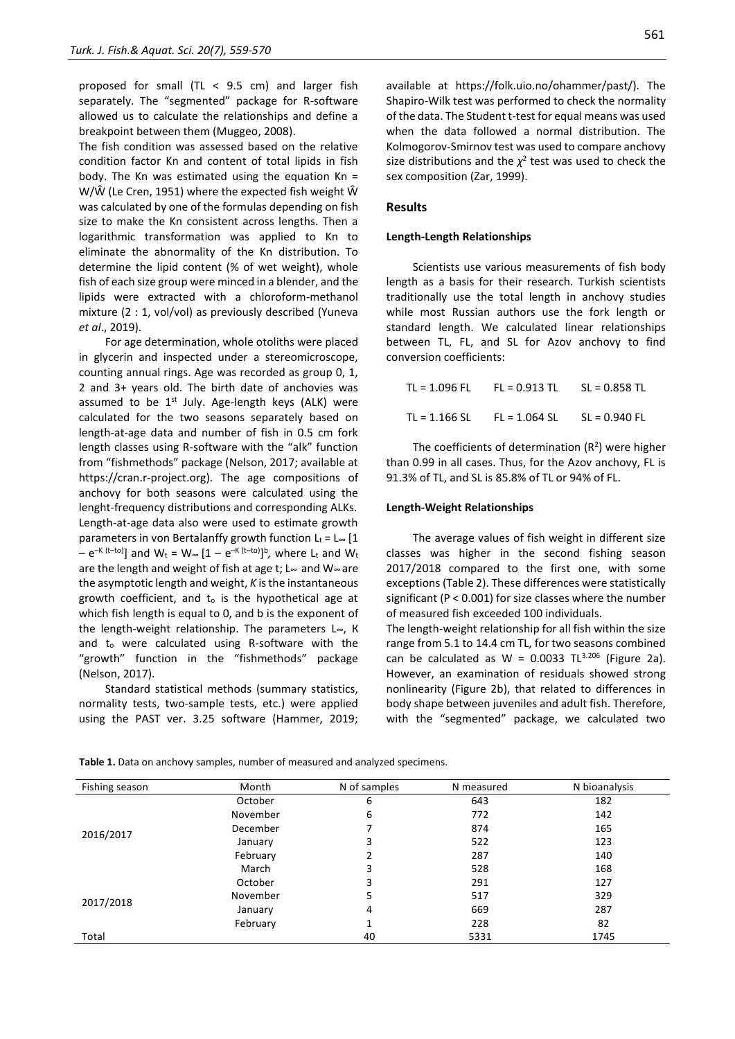proposed for small (TL  $<$  9.5 cm) and larger fish separately. The "segmented" package for R-software allowed us to calculate the relationships and define a breakpoint between them (Muggeo, 2008).

The fish condition was assessed based on the relative condition factor Kn and content of total lipids in fish body. The Kn was estimated using the equation  $Kn =$ W/Ŵ (Le Cren, 1951) where the expected fish weight Ŵ was calculated by one of the formulas depending on fish size to make the Kn consistent across lengths. Then a logarithmic transformation was applied to Kn to eliminate the abnormality of the Kn distribution. To determine the lipid content (% of wet weight), whole fish of each size group were minced in a blender, and the lipids were extracted with a chloroform-methanol mixture (2 : 1, vol/vol) as previously described (Yuneva *et al*., 2019).

For age determination, whole otoliths were placed in glycerin and inspected under a stereomicroscope, counting annual rings. Age was recorded as group 0, 1, 2 and 3+ years old. The birth date of anchovies was assumed to be  $1<sup>st</sup>$  July. Age-length keys (ALK) were calculated for the two seasons separately based on length-at-age data and number of fish in 0.5 cm fork length classes using R-software with the "alk" function from "fishmethods" package (Nelson, 2017; available at https://cran.r-project.org). The age compositions of anchovy for both seasons were calculated using the lenght-frequency distributions and corresponding ALKs. Length-at-age data also were used to estimate growth parameters in von Bertalanffy growth function  $L_t = L_{\infty} [1$ – e<sup>–к (t–to)</sup>] and W<sub>t</sub> = W∞ [1 – e<sup>–к (t–to)</sup>]<sup>b</sup>, where L<sub>t</sub> and W<sub>t</sub> are the length and weight of fish at age t; L∞ and W∞ are the asymptotic length and weight, *K* is the instantaneous growth coefficient, and t<sup>o</sup> is the hypothetical age at which fish length is equal to 0, and b is the exponent of the length-weight relationship. The parameters L∞, К and t<sup>o</sup> were calculated using R-software with the "growth" function in the "fishmethods" package (Nelson, 2017).

Standard statistical methods (summary statistics, normality tests, two-sample tests, etc.) were applied using the PAST ver. 3.25 software (Hammer, 2019;

available at https://folk.uio.no/ohammer/past/). The Shapiro-Wilk test was performed to check the normality of the data. The Student t-test for equal means was used when the data followed a normal distribution. The Kolmogorov-Smirnov test was used to compare anchovy size distributions and the  $\chi^2$  test was used to check the sex composition (Zar, 1999).

## **Results**

#### **Length-Length Relationships**

Scientists use various measurements of fish body length as a basis for their research. Turkish scientists traditionally use the total length in anchovy studies while most Russian authors use the fork length or standard length. We calculated linear relationships between TL, FL, and SL for Azov anchovy to find conversion coefficients:

| TL = 1.096 FL | $FL = 0.913 TL$ $SL = 0.858 TL$ |  |
|---------------|---------------------------------|--|
| TL = 1.166 SL | $FL = 1.064 SL$ $SL = 0.940 FL$ |  |

The coefficients of determination  $(R^2)$  were higher than 0.99 in all cases. Thus, for the Azov anchovy, FL is 91.3% of TL, and SL is 85.8% of TL or 94% of FL.

#### **Length-Weight Relationships**

The average values of fish weight in different size classes was higher in the second fishing season 2017/2018 compared to the first one, with some exceptions (Table 2). These differences were statistically significant (P < 0.001) for size classes where the number of measured fish exceeded 100 individuals.

The length-weight relationship for all fish within the size range from 5.1 to 14.4 cm TL, for two seasons combined can be calculated as W = 0.0033 TL $^{3.206}$  (Figure 2a). However, an examination of residuals showed strong nonlinearity (Figure 2b), that related to differences in body shape between juveniles and adult fish. Therefore, with the "segmented" package, we calculated two

| Fishing season | Month    | N of samples | N measured | N bioanalysis |
|----------------|----------|--------------|------------|---------------|
|                | October  | 6            | 643        | 182           |
|                | November | 6            | 772        | 142           |
|                | December |              | 874        | 165           |
| 2016/2017      | January  | 3            | 522        | 123           |
|                | February |              | 287        | 140           |
|                | March    | 3            | 528        | 168           |
|                | October  | 3            | 291        | 127           |
| 2017/2018      | November | 5            | 517        | 329           |
|                | January  | 4            | 669        | 287           |
|                | February |              | 228        | 82            |
| Total          |          | 40           | 5331       | 1745          |

**Table 1.** Data on anchovy samples, number of measured and analyzed specimens.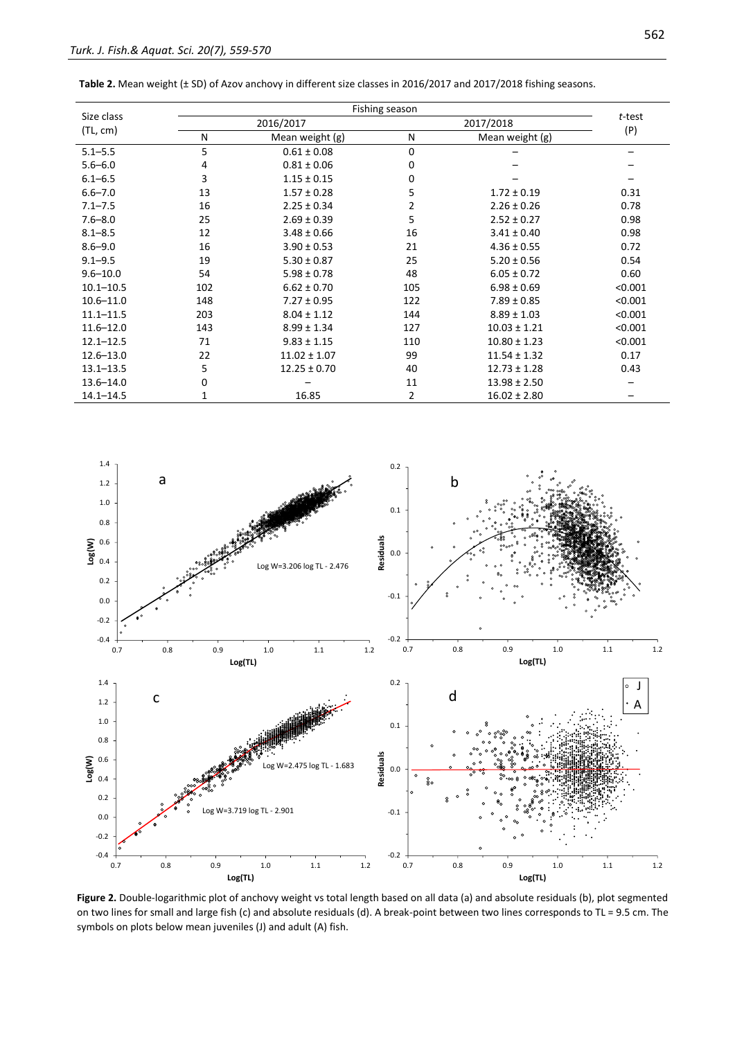|               |     | Fishing season   |     |                  |         |  |
|---------------|-----|------------------|-----|------------------|---------|--|
| Size class    |     | 2016/2017        |     | 2017/2018        |         |  |
| (TL, cm)      | N   | Mean weight (g)  | N   | Mean weight (g)  | (P)     |  |
| $5.1 - 5.5$   | 5   | $0.61 \pm 0.08$  | 0   |                  |         |  |
| $5.6 - 6.0$   | 4   | $0.81 \pm 0.06$  | 0   |                  |         |  |
| $6.1 - 6.5$   | 3   | $1.15 \pm 0.15$  | 0   |                  |         |  |
| $6.6 - 7.0$   | 13  | $1.57 \pm 0.28$  | 5   | $1.72 \pm 0.19$  | 0.31    |  |
| $7.1 - 7.5$   | 16  | $2.25 \pm 0.34$  | 2   | $2.26 \pm 0.26$  | 0.78    |  |
| $7.6 - 8.0$   | 25  | $2.69 \pm 0.39$  | 5   | $2.52 \pm 0.27$  | 0.98    |  |
| $8.1 - 8.5$   | 12  | $3.48 \pm 0.66$  | 16  | $3.41 \pm 0.40$  | 0.98    |  |
| $8.6 - 9.0$   | 16  | $3.90 \pm 0.53$  | 21  | $4.36 \pm 0.55$  | 0.72    |  |
| $9.1 - 9.5$   | 19  | $5.30 \pm 0.87$  | 25  | $5.20 \pm 0.56$  | 0.54    |  |
| $9.6 - 10.0$  | 54  | $5.98 \pm 0.78$  | 48  | $6.05 \pm 0.72$  | 0.60    |  |
| $10.1 - 10.5$ | 102 | $6.62 \pm 0.70$  | 105 | $6.98 \pm 0.69$  | < 0.001 |  |
| $10.6 - 11.0$ | 148 | $7.27 \pm 0.95$  | 122 | $7.89 \pm 0.85$  | < 0.001 |  |
| $11.1 - 11.5$ | 203 | $8.04 \pm 1.12$  | 144 | $8.89 \pm 1.03$  | < 0.001 |  |
| $11.6 - 12.0$ | 143 | $8.99 \pm 1.34$  | 127 | $10.03 \pm 1.21$ | < 0.001 |  |
| $12.1 - 12.5$ | 71  | $9.83 \pm 1.15$  | 110 | $10.80 \pm 1.23$ | < 0.001 |  |
| $12.6 - 13.0$ | 22  | $11.02 \pm 1.07$ | 99  | $11.54 \pm 1.32$ | 0.17    |  |
| $13.1 - 13.5$ | 5   | $12.25 \pm 0.70$ | 40  | $12.73 \pm 1.28$ | 0.43    |  |
| $13.6 - 14.0$ | 0   |                  | 11  | $13.98 \pm 2.50$ |         |  |
| $14.1 - 14.5$ | 1   | 16.85            | 2   | $16.02 \pm 2.80$ |         |  |

| Table 2. Mean weight (± SD) of Azov anchovy in different size classes in 2016/2017 and 2017/2018 fishing seasons. |  |  |
|-------------------------------------------------------------------------------------------------------------------|--|--|
|-------------------------------------------------------------------------------------------------------------------|--|--|



**Figure 2.** Double-logarithmic plot of anchovy weight vs total length based on all data (a) and absolute residuals (b), plot segmented on two lines for small and large fish (c) and absolute residuals (d). A break-point between two lines corresponds to TL = 9.5 cm. The symbols on plots below mean juveniles (J) and adult (A) fish.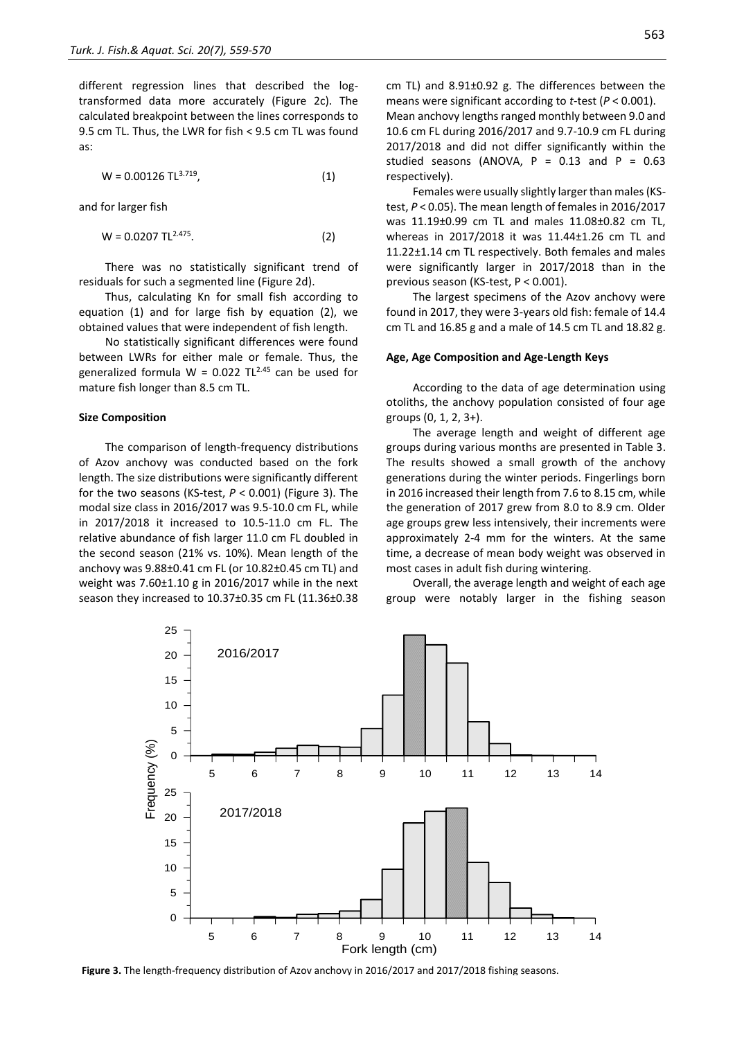different regression lines that described the logtransformed data more accurately (Figure 2c). The calculated breakpoint between the lines corresponds to 9.5 cm TL. Thus, the LWR for fish < 9.5 cm TL was found as:

$$
W = 0.00126 \text{ TL}^{3.719}, \tag{1}
$$

and for larger fish

$$
W = 0.0207 \text{ TL}^{2.475}.
$$
 (2)

There was no statistically significant trend of residuals for such a segmented line (Figure 2d).

Thus, calculating Kn for small fish according to equation (1) and for large fish by equation (2), we obtained values that were independent of fish length.

No statistically significant differences were found between LWRs for either male or female. Thus, the generalized formula W = 0.022  $TL^{2.45}$  can be used for mature fish longer than 8.5 cm TL.

#### **Size Composition**

The comparison of length-frequency distributions of Azov anchovy was conducted based on the fork length. The size distributions were significantly different for the two seasons (KS-test, *P* < 0.001) (Figure 3). The modal size class in 2016/2017 was 9.5-10.0 cm FL, while in 2017/2018 it increased to 10.5-11.0 cm FL. The relative abundance of fish larger 11.0 cm FL doubled in the second season (21% vs. 10%). Mean length of the anchovy was 9.88±0.41 cm FL (or 10.82±0.45 cm TL) and weight was 7.60±1.10 g in 2016/2017 while in the next season they increased to 10.37±0.35 cm FL (11.36±0.38 563

cm TL) and 8.91±0.92 g. The differences between the means were significant according to *t*-test (*P* < 0.001). Mean anchovy lengths ranged monthly between 9.0 and 10.6 cm FL during 2016/2017 and 9.7-10.9 cm FL during 2017/2018 and did not differ significantly within the studied seasons (ANOVA,  $P = 0.13$  and  $P = 0.63$ respectively).

Females were usually slightly larger than males (KStest, *P* < 0.05). The mean length of females in 2016/2017 was 11.19±0.99 cm TL and males 11.08±0.82 cm TL, whereas in 2017/2018 it was 11.44±1.26 cm TL and 11.22±1.14 cm TL respectively. Both females and males were significantly larger in 2017/2018 than in the previous season (KS-test, P < 0.001).

The largest specimens of the Azov anchovy were found in 2017, they were 3-years old fish: female of 14.4 cm TL and 16.85 g and a male of 14.5 cm TL and 18.82 g.

#### **Age, Age Composition and Age-Length Keys**

According to the data of age determination using otoliths, the anchovy population consisted of four age groups (0, 1, 2, 3+).

The average length and weight of different age groups during various months are presented in Table 3. The results showed a small growth of the anchovy generations during the winter periods. Fingerlings born in 2016 increased their length from 7.6 to 8.15 cm, while the generation of 2017 grew from 8.0 to 8.9 cm. Older age groups grew less intensively, their increments were approximately 2-4 mm for the winters. At the same time, a decrease of mean body weight was observed in most cases in adult fish during wintering.

Overall, the average length and weight of each age group were notably larger in the fishing season



**Figure 3.** The length-frequency distribution of Azov anchovy in 2016/2017 and 2017/2018 fishing seasons.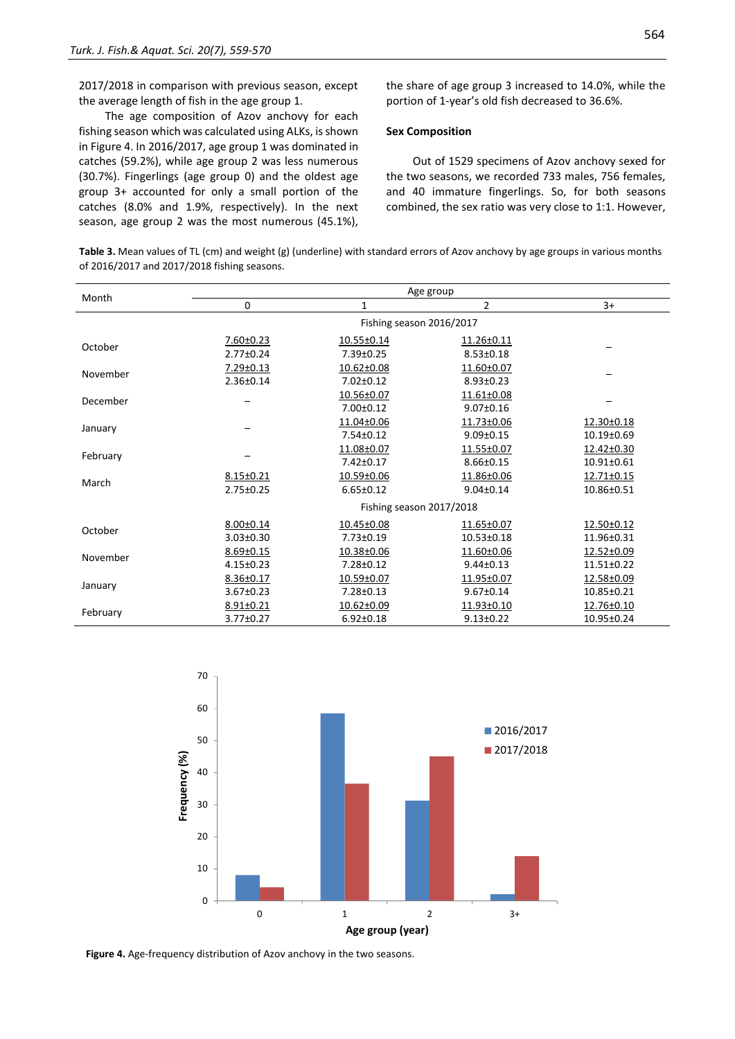2017/2018 in comparison with previous season, except the average length of fish in the age group 1.

The age composition of Azov anchovy for each fishing season which was calculated using ALKs, is shown in Figure 4. In 2016/2017, age group 1 was dominated in catches (59.2%), while age group 2 was less numerous (30.7%). Fingerlings (age group 0) and the oldest age group 3+ accounted for only a small portion of the catches (8.0% and 1.9%, respectively). In the next season, age group 2 was the most numerous (45.1%), the share of age group 3 increased to 14.0%, while the portion of 1-year's old fish decreased to 36.6%.

#### **Sex Composition**

Out of 1529 specimens of Azov anchovy sexed for the two seasons, we recorded 733 males, 756 females, and 40 immature fingerlings. So, for both seasons combined, the sex ratio was very close to 1:1. However,

**Table 3.** Mean values of TL (cm) and weight (g) (underline) with standard errors of Azov anchovy by age groups in various months of 2016/2017 and 2017/2018 fishing seasons.

| Month    |                                    |                               |                               |                          |
|----------|------------------------------------|-------------------------------|-------------------------------|--------------------------|
|          | 0                                  | 1                             | 2                             | $3+$                     |
|          |                                    |                               |                               |                          |
| October  | 7.60±0.23<br>2.77±0.24             | 10.55±0.14<br>7.39±0.25       | 11.26±0.11<br>$8.53 \pm 0.18$ |                          |
| November | 7.29±0.13<br>2.36±0.14             | 10.62±0.08<br>$7.02 \pm 0.12$ | 11.60±0.07<br>$8.93 \pm 0.23$ |                          |
| December |                                    | 10.56±0.07<br>7.00±0.12       | 11.61±0.08<br>$9.07 \pm 0.16$ |                          |
| January  |                                    | 11.04±0.06<br>$7.54 \pm 0.12$ | 11.73±0.06<br>$9.09 \pm 0.15$ | 12.30±0.18<br>10.19±0.69 |
| February |                                    | 11.08±0.07<br>$7.42 \pm 0.17$ | 11.55±0.07<br>$8.66 \pm 0.15$ | 12.42±0.30<br>10.91±0.61 |
| March    | 8.15±0.21<br>2.75±0.25             | 10.59±0.06<br>$6.65 \pm 0.12$ | 11.86±0.06<br>$9.04 \pm 0.14$ | 12.71±0.15<br>10.86±0.51 |
|          |                                    | Fishing season 2017/2018      |                               |                          |
| October  | $8.00 \pm 0.14$<br>$3.03 \pm 0.30$ | 10.45±0.08<br>7.73±0.19       | 11.65±0.07<br>10.53±0.18      | 12.50±0.12<br>11.96±0.31 |
| November | $8.69 \pm 0.15$<br>$4.15 \pm 0.23$ | 10.38±0.06<br>7.28±0.12       | 11.60±0.06<br>$9.44 \pm 0.13$ | 12.52±0.09<br>11.51±0.22 |
| January  | 8.36±0.17<br>3.67±0.23             | 10.59±0.07<br>7.28±0.13       | 11.95±0.07<br>$9.67 \pm 0.14$ | 12.58±0.09<br>10.85±0.21 |
| February | 8.91±0.21<br>3.77±0.27             | 10.62±0.09<br>$6.92 \pm 0.18$ | 11.93±0.10<br>$9.13 \pm 0.22$ | 12.76±0.10<br>10.95±0.24 |



**Figure 4.** Age-frequency distribution of Azov anchovy in the two seasons.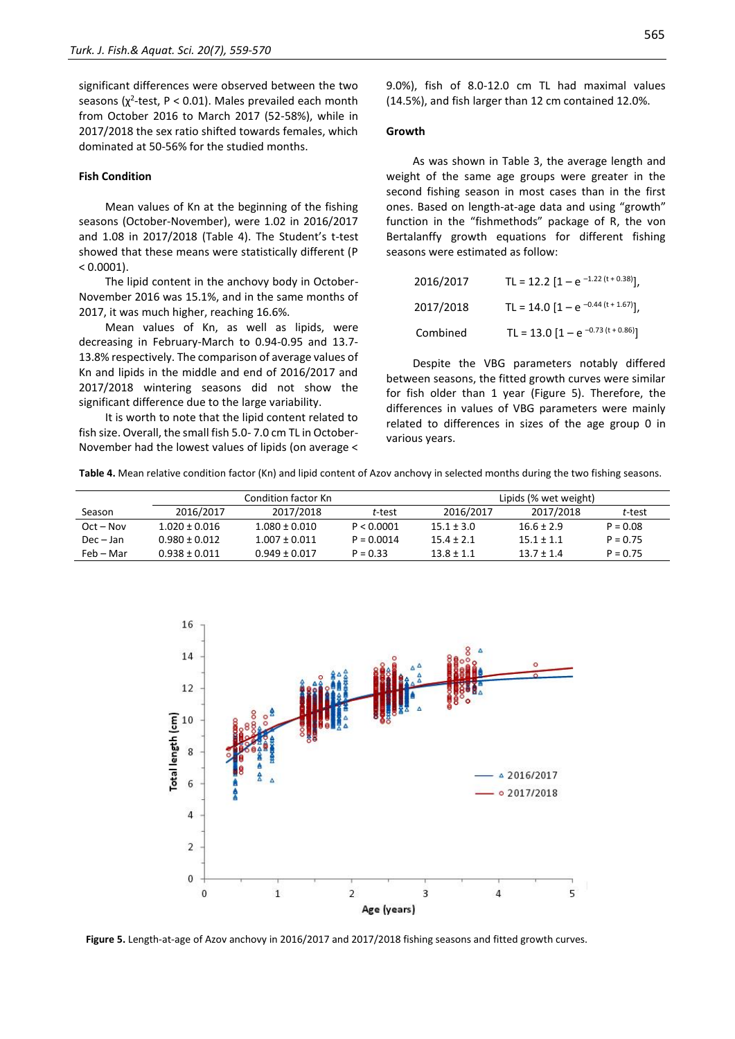significant differences were observed between the two seasons ( $\chi^2$ -test, P < 0.01). Males prevailed each month from October 2016 to March 2017 (52-58%), while in 2017/2018 the sex ratio shifted towards females, which dominated at 50-56% for the studied months.

#### **Fish Condition**

Mean values of Kn at the beginning of the fishing seasons (October-November), were 1.02 in 2016/2017 and 1.08 in 2017/2018 (Table 4). The Student's t-test showed that these means were statistically different (P  $< 0.0001$ ).

The lipid content in the anchovy body in October-November 2016 was 15.1%, and in the same months of 2017, it was much higher, reaching 16.6%.

Mean values of Kn, as well as lipids, were decreasing in February-March to 0.94-0.95 and 13.7- 13.8% respectively. The comparison of average values of Kn and lipids in the middle and end of 2016/2017 and 2017/2018 wintering seasons did not show the significant difference due to the large variability.

It is worth to note that the lipid content related to fish size. Overall, the small fish 5.0- 7.0 cm TL in October-November had the lowest values of lipids (on average <

9.0%), fish of 8.0-12.0 cm TL had maximal values (14.5%), and fish larger than 12 cm contained 12.0%.

#### **Growth**

As was shown in Table 3, the average length and weight of the same age groups were greater in the second fishing season in most cases than in the first ones. Based on length-at-age data and using "growth" function in the "fishmethods" package of R, the von Bertalanffy growth equations for different fishing seasons were estimated as follow:

| 2016/2017 | TL = 12.2 $[1 - e^{-1.22(t + 0.38)}]$ ,  |
|-----------|------------------------------------------|
| 2017/2018 | TL = 14.0 $[1 - e^{-0.44 (t + 1.67)}]$ , |
| Combined  | TL = 13.0 $[1 - e^{-0.73 (t + 0.86)}]$   |

Despite the VBG parameters notably differed between seasons, the fitted growth curves were similar for fish older than 1 year (Figure 5). Therefore, the differences in values of VBG parameters were mainly related to differences in sizes of the age group 0 in various years.

| Table 4. Mean relative condition factor (Kn) and lipid content of Azov anchovy in selected months during the two fishing seasons. |  |  |  |
|-----------------------------------------------------------------------------------------------------------------------------------|--|--|--|
|-----------------------------------------------------------------------------------------------------------------------------------|--|--|--|

|             |                   | Condition factor Kn |              | Lipids (% wet weight) |                |            |
|-------------|-------------------|---------------------|--------------|-----------------------|----------------|------------|
| Season      | 2016/2017         | 2017/2018           | t-test       | 2016/2017             | 2017/2018      | t-test     |
| $Oct - Nov$ | $1.020 \pm 0.016$ | $1.080 \pm 0.010$   | P < 0.0001   | $15.1 \pm 3.0$        | $16.6 \pm 2.9$ | $P = 0.08$ |
| $Dec - Jan$ | $0.980 \pm 0.012$ | $1.007 \pm 0.011$   | $P = 0.0014$ | $15.4 + 2.1$          | $15.1 + 1.1$   | $P = 0.75$ |
| Feb – Mar   | $0.938 + 0.011$   | $0.949 \pm 0.017$   | $P = 0.33$   | $13.8 + 1.1$          | $13.7 + 1.4$   | $P = 0.75$ |



**Figure 5.** Length-at-age of Azov anchovy in 2016/2017 and 2017/2018 fishing seasons and fitted growth curves.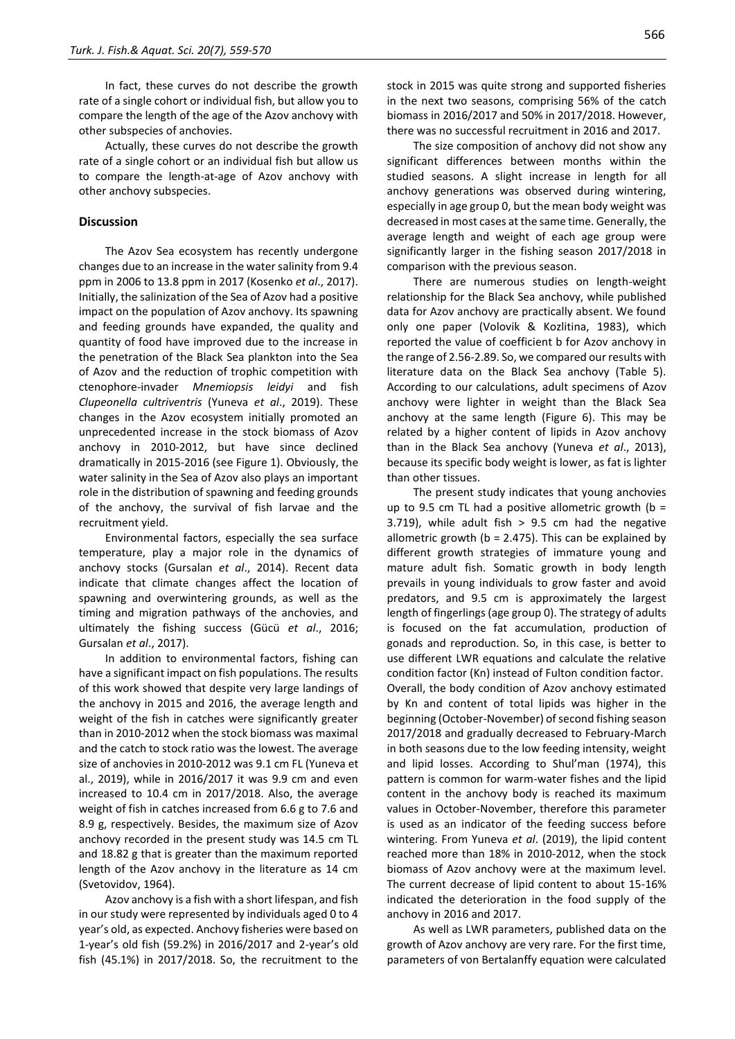In fact, these curves do not describe the growth rate of a single cohort or individual fish, but allow you to compare the length of the age of the Azov anchovy with other subspecies of anchovies.

Actually, these curves do not describe the growth rate of a single cohort or an individual fish but allow us to compare the length-at-age of Azov anchovy with other anchovy subspecies.

#### **Discussion**

The Azov Sea ecosystem has recently undergone changes due to an increase in the water salinity from 9.4 ppm in 2006 to 13.8 ppm in 2017 (Kosenko *et al*., 2017). Initially, the salinization of the Sea of Azov had a positive impact on the population of Azov anchovy. Its spawning and feeding grounds have expanded, the quality and quantity of food have improved due to the increase in the penetration of the Black Sea plankton into the Sea of Azov and the reduction of trophic competition with ctenophore-invader *Mnemiopsis leidyi* and fish *[Clupeonella cultriventris](https://www.fishbase.se/Nomenclature/SynonymSummary.php?ID=23448&GSID=1051&Status=accepted%20name&Synonymy=senior%20synonym&Combination=new%20combination&GenusName=Clupeonella&SpeciesName=cultriventris&SpecCode=1470&SynonymsRef=188&Author=(Nordmann,%201840)&Misspelling=0)* (Yuneva *et al*., 2019). These changes in the Azov ecosystem initially promoted an unprecedented increase in the stock biomass of Azov anchovy in 2010-2012, but have since declined dramatically in 2015-2016 (see Figure 1). Obviously, the water salinity in the Sea of Azov also plays an important role in the distribution of spawning and feeding grounds of the anchovy, the survival of fish larvae and the recruitment yield.

Environmental factors, especially the sea surface temperature, play a major role in the dynamics of anchovy stocks (Gursalan *et al*., 2014). Recent data indicate that climate changes affect the location of spawning and overwintering grounds, as well as the timing and migration pathways of the anchovies, and ultimately the fishing success (Gücü *et al*., 2016; Gursalan *et al*., 2017).

In addition to environmental factors, fishing can have a significant impact on fish populations. The results of this work showed that despite very large landings of the anchovy in 2015 and 2016, the average length and weight of the fish in catches were significantly greater than in 2010-2012 when the stock biomass was maximal and the catch to stock ratio was the lowest. The average size of anchovies in 2010-2012 was 9.1 cm FL (Yuneva et al., 2019), while in 2016/2017 it was 9.9 cm and even increased to 10.4 cm in 2017/2018. Also, the average weight of fish in catches increased from 6.6 g to 7.6 and 8.9 g, respectively. Besides, the maximum size of Azov anchovy recorded in the present study was 14.5 cm TL and 18.82 g that is greater than the maximum reported length of the Azov anchovy in the literature as 14 cm (Svetovidov, 1964).

Azov anchovy is a fish with a short lifespan, and fish in our study were represented by individuals aged 0 to 4 year's old, as expected. Anchovy fisheries were based on 1-year's old fish (59.2%) in 2016/2017 and 2-year's old fish (45.1%) in 2017/2018. So, the recruitment to the stock in 2015 was quite strong and supported fisheries in the next two seasons, comprising 56% of the catch biomass in 2016/2017 and 50% in 2017/2018. However, there was no successful recruitment in 2016 and 2017.

The size composition of anchovy did not show any significant differences between months within the studied seasons. A slight increase in length for all anchovy generations was observed during wintering, especially in age group 0, but the mean body weight was decreased in most cases at the same time. Generally, the average length and weight of each age group were significantly larger in the fishing season 2017/2018 in comparison with the previous season.

There are numerous studies on length-weight relationship for the Black Sea anchovy, while published data for Azov anchovy are practically absent. We found only one paper (Volovik & Kozlitina, 1983), which reported the value of coefficient b for Azov anchovy in the range of 2.56-2.89. So, we compared our results with literature data on the Black Sea anchovy (Table 5). According to our calculations, adult specimens of Azov anchovy were lighter in weight than the Black Sea anchovy at the same length (Figure 6). This may be related by a higher content of lipids in Azov anchovy than in the Black Sea anchovy (Yuneva *et al*., 2013), because its specific body weight is lower, as fat is lighter than other tissues.

The present study indicates that young anchovies up to 9.5 cm TL had a positive allometric growth ( $b =$ 3.719), while adult fish  $> 9.5$  cm had the negative allometric growth ( $b = 2.475$ ). This can be explained by different growth strategies of immature young and mature adult fish. Somatic growth in body length prevails in young individuals to grow faster and avoid predators, and 9.5 cm is approximately the largest length of fingerlings (age group 0). The strategy of adults is focused on the fat accumulation, production of gonads and reproduction. So, in this case, is better to use different LWR equations and calculate the relative condition factor (Kn) instead of Fulton condition factor. Overall, the body condition of Azov anchovy estimated by Kn and content of total lipids was higher in the beginning (October-November) of second fishing season 2017/2018 and gradually decreased to February-March in both seasons due to the low feeding intensity, weight and lipid losses. According to Shul'man (1974), this pattern is common for warm-water fishes and the lipid content in the anchovy body is reached its maximum values in October-November, therefore this parameter is used as an indicator of the feeding success before wintering. From Yuneva *et al*. (2019), the lipid content reached more than 18% in 2010-2012, when the stock biomass of Azov anchovy were at the maximum level. The current decrease of lipid content to about 15-16% indicated the deterioration in the food supply of the anchovy in 2016 and 2017.

As well as LWR parameters, published data on the growth of Azov anchovy are very rare. For the first time, parameters of von Bertalanffy equation were calculated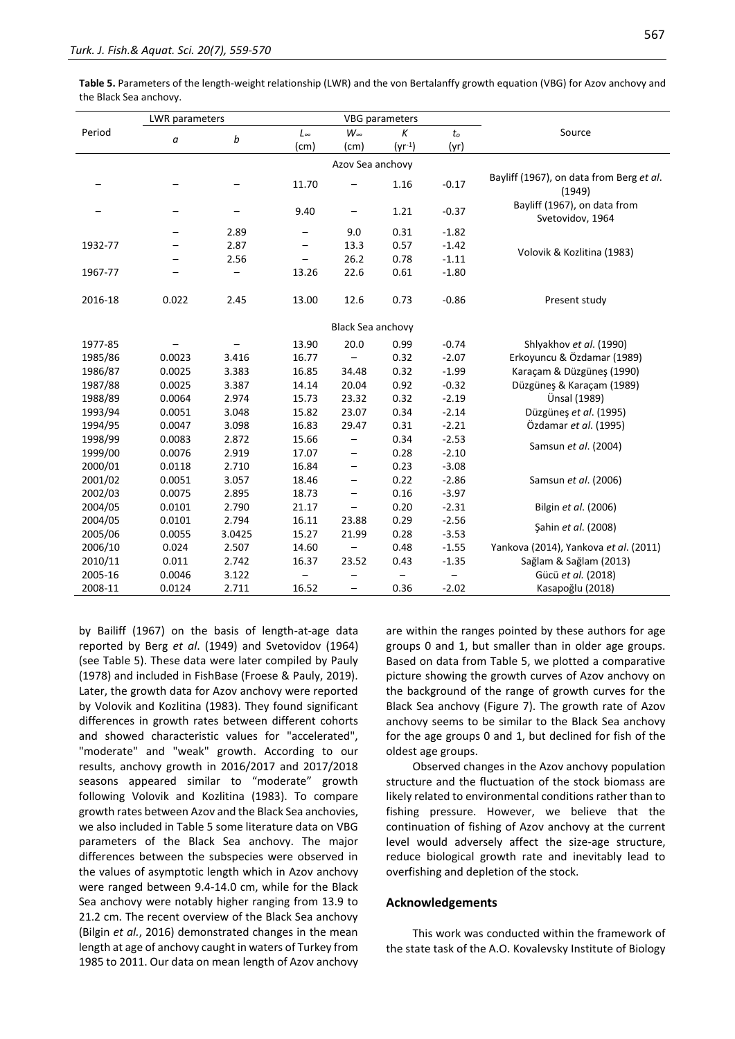**Table 5.** Parameters of the length-weight relationship (LWR) and the von Bertalanffy growth equation (VBG) for Azov anchovy and the Black Sea anchovy.

|         | <b>LWR</b> parameters |        |              | VBG parameters           |             |         |                                                    |
|---------|-----------------------|--------|--------------|--------------------------|-------------|---------|----------------------------------------------------|
| Period  |                       |        | $L_{\infty}$ | $W_{\infty}$             | K           | $t_o$   | Source                                             |
|         | a                     | b      | (cm)         | (cm)                     | $(yr^{-1})$ | (yr)    |                                                    |
|         |                       |        |              | Azov Sea anchovy         |             |         |                                                    |
|         |                       |        | 11.70        |                          | 1.16        | $-0.17$ | Bayliff (1967), on data from Berg et al.<br>(1949) |
|         |                       |        | 9.40         |                          | 1.21        | $-0.37$ | Bayliff (1967), on data from<br>Svetovidov, 1964   |
|         |                       | 2.89   |              | 9.0                      | 0.31        | $-1.82$ |                                                    |
| 1932-77 |                       | 2.87   |              | 13.3                     | 0.57        | $-1.42$ |                                                    |
|         |                       | 2.56   |              | 26.2                     | 0.78        | $-1.11$ | Volovik & Kozlitina (1983)                         |
| 1967-77 |                       |        | 13.26        | 22.6                     | 0.61        | $-1.80$ |                                                    |
| 2016-18 | 0.022                 | 2.45   | 13.00        | 12.6                     | 0.73        | $-0.86$ | Present study                                      |
|         |                       |        |              | Black Sea anchovy        |             |         |                                                    |
| 1977-85 |                       |        | 13.90        | 20.0                     | 0.99        | $-0.74$ | Shlyakhov et al. (1990)                            |
| 1985/86 | 0.0023                | 3.416  | 16.77        | $\qquad \qquad -$        | 0.32        | $-2.07$ | Erkoyuncu & Özdamar (1989)                         |
| 1986/87 | 0.0025                | 3.383  | 16.85        | 34.48                    | 0.32        | $-1.99$ | Karaçam & Düzgünes (1990)                          |
| 1987/88 | 0.0025                | 3.387  | 14.14        | 20.04                    | 0.92        | $-0.32$ | Düzgüneş & Karaçam (1989)                          |
| 1988/89 | 0.0064                | 2.974  | 15.73        | 23.32                    | 0.32        | $-2.19$ | Ünsal (1989)                                       |
| 1993/94 | 0.0051                | 3.048  | 15.82        | 23.07                    | 0.34        | $-2.14$ | Düzgüneş et al. (1995)                             |
| 1994/95 | 0.0047                | 3.098  | 16.83        | 29.47                    | 0.31        | $-2.21$ | Özdamar et al. (1995)                              |
| 1998/99 | 0.0083                | 2.872  | 15.66        | $\overline{\phantom{m}}$ | 0.34        | $-2.53$ |                                                    |
| 1999/00 | 0.0076                | 2.919  | 17.07        | $\qquad \qquad -$        | 0.28        | $-2.10$ | Samsun et al. (2004)                               |
| 2000/01 | 0.0118                | 2.710  | 16.84        | $\qquad \qquad -$        | 0.23        | $-3.08$ |                                                    |
| 2001/02 | 0.0051                | 3.057  | 18.46        | $\overline{\phantom{m}}$ | 0.22        | $-2.86$ | Samsun et al. (2006)                               |
| 2002/03 | 0.0075                | 2.895  | 18.73        | $\overline{\phantom{0}}$ | 0.16        | $-3.97$ |                                                    |
| 2004/05 | 0.0101                | 2.790  | 21.17        | $\overline{\phantom{0}}$ | 0.20        | $-2.31$ | Bilgin et al. (2006)                               |
| 2004/05 | 0.0101                | 2.794  | 16.11        | 23.88                    | 0.29        | $-2.56$ |                                                    |
| 2005/06 | 0.0055                | 3.0425 | 15.27        | 21.99                    | 0.28        | $-3.53$ | Sahin et al. (2008)                                |
| 2006/10 | 0.024                 | 2.507  | 14.60        |                          | 0.48        | $-1.55$ | Yankova (2014), Yankova et al. (2011)              |
| 2010/11 | 0.011                 | 2.742  | 16.37        | 23.52                    | 0.43        | $-1.35$ | Sağlam & Sağlam (2013)                             |
| 2005-16 | 0.0046                | 3.122  |              |                          |             |         | Gücü et al. (2018)                                 |
| 2008-11 | 0.0124                | 2.711  | 16.52        |                          | 0.36        | $-2.02$ | Kasapoğlu (2018)                                   |

by Bailiff (1967) on the basis of length-at-age data reported by Berg *et al*. (1949) and Svetovidov (1964) (see Table 5). These data were later compiled by Pauly (1978) and included in FishBase (Froese & Pauly, 2019). Later, the growth data for Azov anchovy were reported by Volovik and Kozlitina (1983). They found significant differences in growth rates between different cohorts and showed characteristic values for "accelerated", "moderate" and "weak" growth. According to our results, anchovy growth in 2016/2017 and 2017/2018 seasons appeared similar to "moderate" growth following Volovik and Kozlitina (1983). To compare growth rates between Azov and the Black Sea anchovies, we also included in Table 5 some literature data on VBG parameters of the Black Sea anchovy. The major differences between the subspecies were observed in the values of asymptotic length which in Azov anchovy were ranged between 9.4-14.0 cm, while for the Black Sea anchovy were notably higher ranging from 13.9 to 21.2 cm. The recent overview of the Black Sea anchovy (Bilgin *et al.*, 2016) demonstrated changes in the mean length at age of anchovy caught in waters of Turkey from 1985 to 2011. Our data on mean length of Azov anchovy are within the ranges pointed by these authors for age groups 0 and 1, but smaller than in older age groups. Based on data from Table 5, we plotted a comparative picture showing the growth curves of Azov anchovy on the background of the range of growth curves for the Black Sea anchovy (Figure 7). The growth rate of Azov anchovy seems to be similar to the Black Sea anchovy for the age groups 0 and 1, but declined for fish of the oldest age groups.

Observed changes in the Azov anchovy population structure and the fluctuation of the stock biomass are likely related to environmental conditions rather than to fishing pressure. However, we believe that the continuation of fishing of Azov anchovy at the current level would adversely affect the size-age structure, reduce biological growth rate and inevitably lead to overfishing and depletion of the stock.

#### **Acknowledgements**

This work was conducted within the framework of the state task of the A.O. Kovalevsky Institute of Biology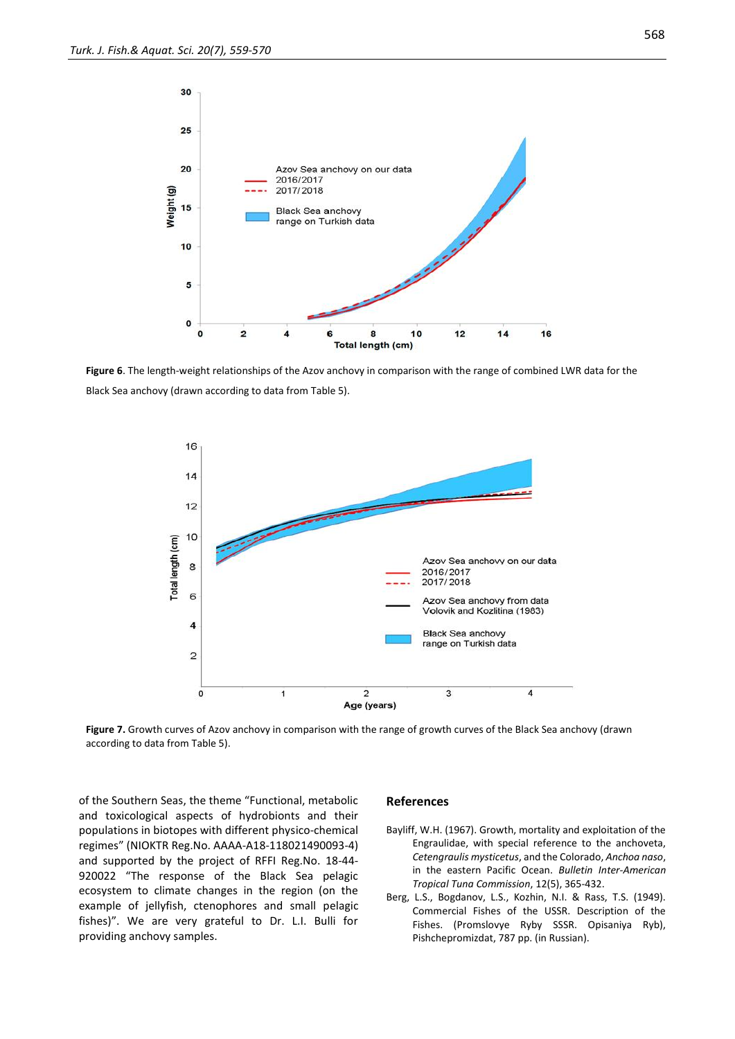

**Figure 6**. The length-weight relationships of the Azov anchovy in comparison with the range of combined LWR data for the Black Sea anchovy (drawn according to data from Table 5).



**Figure 7.** Growth curves of Azov anchovy in comparison with the range of growth curves of the Black Sea anchovy (drawn according to data from Table 5).

of the Southern Seas, the theme "Functional, metabolic and toxicological aspects of hydrobionts and their populations in biotopes with different physico-chemical regimes" (NIOKTR Reg.No. AAAA-A18-118021490093-4) and supported by the project of RFFI Reg.No. 18-44- 920022 "The response of the Black Sea pelagic ecosystem to climate changes in the region (on the example of jellyfish, ctenophores and small pelagic fishes)". We are very grateful to Dr. L.I. Bulli for providing anchovy samples.

#### **References**

- Bayliff, W.H. (1967). Growth, mortality and exploitation of the Engraulidae, with special reference to the anchoveta, *Cetengraulis mysticetus*, and the Colorado, *Anchoa naso*, in the eastern Pacific Ocean. *Bulletin Inter-American Tropical Tuna Commission*, 12(5), 365-432.
- Berg, L.S., Bogdanov, L.S., Kozhin, N.I. & Rass, T.S. (1949). Commercial Fishes of the USSR. Description of the Fishes. (Promslovye Ryby SSSR. Opisaniya Ryb), Pishchepromizdat, 787 pp. (in Russian).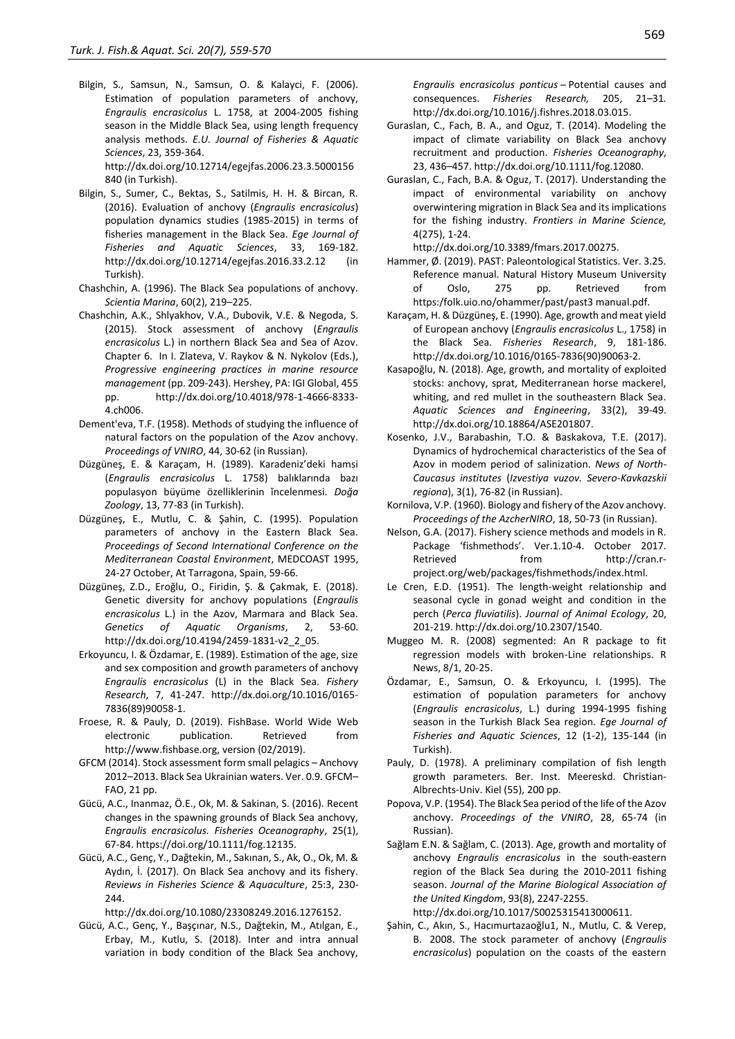Bilgin, S., Samsun, N., Samsun, O. & Kalayci, F. (2006). Estimation of population parameters of anchovy, *Engraulis encrasicolus* L. 1758, at 2004-2005 fishing season in the Middle Black Sea, using length frequency analysis methods. *E.U. Journal of Fisheries & Aquatic Sciences*, 23, 359-364. http://dx.doi.org/10.12714/egejfas.2006.23.3.5000156

840 (in Turkish).

- Bilgin, S., Sumer, C., Bektas, S., Satilmis, H. H. & Bircan, R. (2016). Evaluation of anchovy (*Engraulis encrasicolus*) population dynamics studies (1985-2015) in terms of fisheries management in the Black Sea. *Ege Journal of Fisheries and Aquatic Sciences*, 33, 169-182. http://dx.doi.org/10.12714/egejfas.2016.33.2.12 (in Turkish).
- Chashchin, A. (1996). The Black Sea populations of anchovy. *Scientia Marina*, 60(2), 219–225.
- Chashchin, A.K., Shlyakhov, V.A., Dubovik, V.E. & Negoda, S. (2015). Stock assessment of anchovy (*Engraulis encrasicolus* L.) in northern Black Sea and Sea of Azov. Chapter 6. In I. Zlateva, V. Raykov & N. Nykolov (Eds.), *Progressive engineering practices in marine resource management* (pp. 209-243). Hershey, PA: IGI Global, 455 pp. http://dx.doi.org/10.4018/978-1-4666-8333- 4.ch006.
- Dement'eva, T.F. (1958). Methods of studying the influence of natural factors on the population of the Azov anchovy. *Proceedings of VNIRO*, 44, 30-62 (in Russian).
- Düzgüneş, E. & Karaçam, H. (1989). Karadeniz'deki hamsi (*Engraulis encrasicolus* L. 1758) balıklarında bazı populasyon büyüme özelliklerinin ĭncelenmesi. *Doğa Zoology*, 13, 77-83 (in Turkish).
- Düzgüneş, E., Mutlu, C. & Şahin, C. (1995). Population parameters of anchovy in the Eastern Black Sea. *Proceedings of Second International Conference on the Mediterranean Coastal Environment*, MEDCOAST 1995, 24-27 October, At Tarragona, Spain, 59-66.
- Düzgüneş, Z.D., Eroğlu, O., Firidin, Ş. & Çakmak, E. (2018). Genetic diversity for anchovy populations (*Engraulis encrasicolus* L.) in the Azov, Marmara and Black Sea. *Genetics of Aquatic Organisms*, 2, 53-60. http://dx.doi.org/10.4194/2459-1831-v2\_2\_05.
- Erkoyuncu, I. & Özdamar, E. (1989). Estimation of the age, size and sex composition and growth parameters of anchovy *Engraulis encrasicolus* (L) in the Black Sea. *Fishery Research*, 7, 41-247. http://dx.doi.org/10.1016/0165- 7836(89)90058-1.
- Froese, R. & Pauly, D. (2019). FishBase. World Wide Web electronic publication. Retrieved from http://www.fishbase.org, version (02/2019).
- GFCM (2014). Stock assessment form small pelagics Anchovy 2012–2013. Black Sea Ukrainian waters. Ver. 0.9. GFCM– FAO, 21 pp.
- Gücü, A.C., Inanmaz[, Ö.E.,](https://onlinelibrary.wiley.com/action/doSearch?ContribAuthorStored=Inanmaz%2C+%C3%96zg%C3%BCr+Emek) Ok, M. & Sakinan, S. (2016). Recent changes in the spawning grounds of Black Sea anchovy, *Engraulis encrasicolus. Fisheries Oceanography*, 25(1), 67-84. https://doi.org/10.1111/fog.12135.
- Gücü, A.C., Genç, Y., Dağtekin, M., Sakınan, S., Ak, O., Ok, M. & Aydın, İ. (2017). On Black Sea anchovy and its fishery. *Reviews in Fisheries Science & Aquaculture*, 25:3, 230- 244.

http://dx.doi.org/10.1080/23308249.2016.1276152.

Gücü, A.C., Genç, Y., Başçınar, N.S., Dağtekin, M., Atılgan, E., Erbay, M., Kutlu, S. (2018). Inter and intra annual variation in body condition of the Black Sea anchovy,

*Engraulis encrasicolus ponticus* ̶Potential causes and consequences. *Fisheries Research,* 205, 21–31*.* http://dx.doi.org/10.1016/j.fishres.2018.03.015.

- Guraslan, C., Fach, B. A., and Oguz, T. (2014). Modeling the impact of climate variability on Black Sea anchovy recruitment and production. *Fisheries Oceanography*, 23, 436–457. http://dx.doi.org/10.1111/fog.12080.
- Guraslan, C., Fach, B.A. & Oguz, T. (2017). Understanding the impact of environmental variability on anchovy overwintering migration in Black Sea and its implications for the fishing industry. *Frontiers in Marine Science,* 4(275), 1-24.

http://dx.doi.org/10.3389/fmars.2017.00275.

- Hammer, Ø. (2019). PAST: Paleontological Statistics. Ver. 3.25. Reference manual. Natural History Museum University of Oslo, 275 pp. Retrieved from https:/folk.uio.no/ohammer/past/past3 manual.pdf.
- Karaçam, H. & Düzgüneş, E. (1990). Age, growth and meat yield of European anchovy (*Engraulis encrasicolus* L., 1758) in the Black Sea. *Fisheries Research*, 9, 181-186. http://dx.doi.org/10.1016/0165-7836(90)90063-2.
- Kasapoğlu, N. (2018). Age, growth, and mortality of exploited stocks: anchovy, sprat, Mediterranean horse mackerel, whiting, and red mullet in the southeastern Black Sea. *Aquatic Sciences and Engineering*, 33(2), 39-49. http://dx.doi.org/10.18864/ASE201807.
- Kosenko, J.V., Barabashin, T.O. & Baskakova, T.E. (2017). Dynamics of hydrochemical characteristics of the Sea of Azov in modem period of salinization. *News of North-Caucasus institutes* (*Izvestiya vuzov. Severo-Kavkazskii regiona*), 3(1), 76-82 (in Russian).
- Kornilova, V.P. (1960). Biology and fishery of the Azov anchovy. *Proceedings of the AzcherNIRO*, 18, 50-73 (in Russian).
- Nelson, G.A. (2017). Fishery science methods and models in R. Package 'fishmethods'. Ver.1.10-4. October 2017. Retrieved from http://cran.rproject.org/web/packages/fishmethods/index.html.
- Le Cren, E.D. (1951). The length-weight relationship and seasonal cycle in gonad weight and condition in the perch (*Perca fluviatilis*). *Journal of Animal Ecology*, 20, 201-219. http://dx.doi.org/10.2307/1540.
- Muggeo M. R. (2008) segmented: An R package to fit regression models with broken-Line relationships. R News, 8/1, 20-25.
- Özdamar, E., Samsun, O. & Erkoyuncu, I. (1995). The estimation of population parameters for anchovy (*Engraulis encrasicolus*, L.) during 1994-1995 fishing season in the Turkish Black Sea region. *Ege Journal of Fisheries and Aquatic Sciences*, 12 (1-2), 135-144 (in Turkish).
- Pauly, D. (1978). A preliminary compilation of fish length growth parameters. Ber. Inst. Meereskd. Christian-Albrechts-Univ. Kiel (55), 200 pp.
- Popova, V.P. (1954). The Black Sea period of the life of the Azov anchovy. *Proceedings of the VNIRO*, 28, 65-74 (in Russian).
- Sağlam E.N. & Sağlam, C. (2013). Age, growth and mortality of anchovy *Engraulis encrasicolus* in the south-eastern region of the Black Sea during the 2010-2011 fishing season. *Journal of the Marine Biological Association of the United Kingdom*, 93(8), 2247-2255. http://dx.doi.org/10.1017/S0025315413000611.
- Şahin, C., Akın, S., Hacımurtazaoğlu1, N., Mutlu, C. & Verep, B. 2008. The stock parameter of anchovy (*Engraulis encrasicolus*) population on the coasts of the eastern